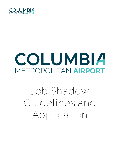

# COLUMBIA METROPOLITAN AIRPORT

**Job Shadow Guidelines and Application**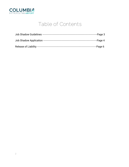

## **Table of Contents**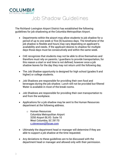

**Job Shadow Guidelines**

The Richland-Lexington Airport District has established the following guidelines for job shadowing at the Columbia Metropolitan Airport.

- Departments within the airport may allow students to job shadow for a period of up to one week or five (5) business days. The timeframe of the job shadow is flexible and hours may vary depending on applicant's availability and needs. If the applicant desires to shadow for multiple days those days must be consecutively and within the same week.
- CAE recognizes that students may not be able to drive themselves and therefore must rely on parents / guardians to provide transportation, for this reason a start or end time is not defined, however once a job shadow leaves for the day they may not return until the following day.
- The Job Shadow opportunity is designed for high school (grades 9 and higher) or college students.
- Job Shadows are responsible for providing their own food and beverages during the job shadow. Lunch will not be provided but filtered Water is available in most of the break rooms.
- Job Shadows are responsible for providing their own transportation to and from the workplace.
- Applications for a job shadow may be sent to the Human Resources department at the following address.
	- o Human Resources Columbia Metropolitan Airport 3250 Airport BLVD. Suite 10 West Columbia, SC 29170 [c.stevenson@flycae.com](mailto:c.stevenson@flycae.com)
- Ultimately the department head or manager will determine if they are able to support a job shadow at the time requested.
- Any deviations to these guidelines are to be discussed with the department head or manager and allowed only with their permission.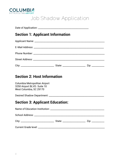

**Job Shadow Application**

| <b>Section 1: Applicant Information</b>                                                 |  |
|-----------------------------------------------------------------------------------------|--|
|                                                                                         |  |
|                                                                                         |  |
|                                                                                         |  |
|                                                                                         |  |
|                                                                                         |  |
| <b>Section 2: Host Information</b>                                                      |  |
| Columbia Metropolitan Airport<br>3250 Airport BLVD. Suite 10<br>West Columbia, SC 29170 |  |
|                                                                                         |  |
| <b>Section 3: Applicant Education:</b>                                                  |  |
|                                                                                         |  |
|                                                                                         |  |
|                                                                                         |  |
|                                                                                         |  |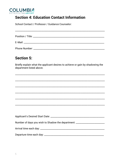

## **Section 4: Education Contact Information**

School Contact / Professor / Guidance Counselor:

| Position / Title: |  |  |
|-------------------|--|--|
| E-Mail:           |  |  |

## **Section 5:**

Briefly explain what the applicant desires to achieve or gain by shadowing the department listed above.

| Number of days you wish to Shadow the department: ______________________________ |
|----------------------------------------------------------------------------------|
|                                                                                  |
|                                                                                  |